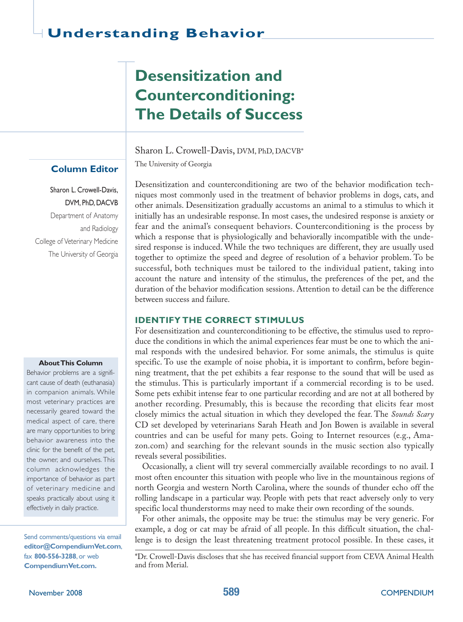# **Desensitization and Counterconditioning: The Details of Success**

Sharon L. Crowell-Davis, DVM, PhD, DACVB\*

The University of Georgia

Desensitization and counterconditioning are two of the behavior modification techniques most commonly used in the treatment of behavior problems in dogs, cats, and other animals. Desensitization gradually accustoms an animal to a stimulus to which it initially has an undesirable response. In most cases, the undesired response is anxiety or fear and the animal's consequent behaviors. Counterconditioning is the process by which a response that is physiologically and behaviorally incompatible with the undesired response is induced. While the two techniques are different, they are usually used together to optimize the speed and degree of resolution of a behavior problem. To be successful, both techniques must be tailored to the individual patient, taking into account the nature and intensity of the stimulus, the preferences of the pet, and the duration of the behavior modification sessions. Attention to detail can be the difference between success and failure.

# **IDENTIFY THE CORRECT STIMULUS**

For desensitization and counterconditioning to be effective, the stimulus used to reproduce the conditions in which the animal experiences fear must be one to which the animal responds with the undesired behavior. For some animals, the stimulus is quite specific. To use the example of noise phobia, it is important to confirm, before beginning treatment, that the pet exhibits a fear response to the sound that will be used as the stimulus. This is particularly important if a commercial recording is to be used. Some pets exhibit intense fear to one particular recording and are not at all bothered by another recording. Presumably, this is because the recording that elicits fear most closely mimics the actual situation in which they developed the fear. The *Sounds Scary* CD set developed by veterinarians Sarah Heath and Jon Bowen is available in several countries and can be useful for many pets. Going to Internet resources (e.g., Amazon.com) and searching for the relevant sounds in the music section also typically reveals several possibilities.

Occasionally, a client will try several commercially available recordings to no avail. I most often encounter this situation with people who live in the mountainous regions of north Georgia and western North Carolina, where the sounds of thunder echo off the rolling landscape in a particular way. People with pets that react adversely only to very specific local thunderstorms may need to make their own recording of the sounds.

For other animals, the opposite may be true: the stimulus may be very generic. For example, a dog or cat may be afraid of all people. In this difficult situation, the chal-Send comments/questions via email lenge is to design the least threatening treatment protocol possible. In these cases, it

> \*Dr. Crowell-Davis discloses that she has received financial support from CEVA Animal Health and from Merial.

# **Column Editor**

Sharon L. Crowell-Davis, DVM, PhD, DACVB Department of Anatomy and Radiology College of Veterinary Medicine The University of Georgia

#### **AboutThis Column**

Behavior problems are a significant cause of death (euthanasia) in companion animals. While most veterinary practices are necessarily geared toward the medical aspect of care, there are many opportunities to bring behavior awareness into the clinic for the benefit of the pet, the owner, and ourselves. This column acknowledges the importance of behavior as part of veterinary medicine and speaks practically about using it effectively in daily practice.

**editor@CompendiumVet.com**, fax **800-556-3288**, or web **CompendiumVet.com.**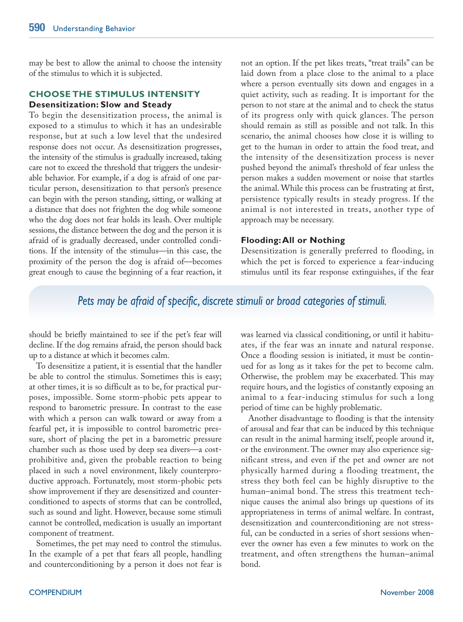may be best to allow the animal to choose the intensity of the stimulus to which it is subjected.

# **CHOOSE THE STIMULUS INTENSITY Desensitization: Slow and Steady**

To begin the desensitization process, the animal is exposed to a stimulus to which it has an undesirable response, but at such a low level that the undesired response does not occur. As desensitization progresses, the intensity of the stimulus is gradually increased, taking care not to exceed the threshold that triggers the undesirable behavior. For example, if a dog is afraid of one particular person, desensitization to that person's presence can begin with the person standing, sitting, or walking at a distance that does not frighten the dog while someone who the dog does not fear holds its leash. Over multiple sessions, the distance between the dog and the person it is afraid of is gradually decreased, under controlled conditions. If the intensity of the stimulus—in this case, the proximity of the person the dog is afraid of—becomes great enough to cause the beginning of a fear reaction, it

not an option. If the pet likes treats, "treat trails" can be laid down from a place close to the animal to a place where a person eventually sits down and engages in a quiet activity, such as reading. It is important for the person to not stare at the animal and to check the status of its progress only with quick glances. The person should remain as still as possible and not talk. In this scenario, the animal chooses how close it is willing to get to the human in order to attain the food treat, and the intensity of the desensitization process is never pushed beyond the animal's threshold of fear unless the person makes a sudden movement or noise that startles the animal. While this process can be frustrating at first, persistence typically results in steady progress. If the animal is not interested in treats, another type of approach may be necessary.

## **Flooding:All or Nothing**

Desensitization is generally preferred to flooding, in which the pet is forced to experience a fear-inducing stimulus until its fear response extinguishes, if the fear

# *Pets may be afraid of specific, discrete stimuli or broad categories of stimuli.*

should be briefly maintained to see if the pet's fear will decline. If the dog remains afraid, the person should back up to a distance at which it becomes calm.

To desensitize a patient, it is essential that the handler be able to control the stimulus. Sometimes this is easy; at other times, it is so difficult as to be, for practical purposes, impossible. Some storm-phobic pets appear to respond to barometric pressure. In contrast to the ease with which a person can walk toward or away from a fearful pet, it is impossible to control barometric pressure, short of placing the pet in a barometric pressure chamber such as those used by deep sea divers—a costprohibitive and, given the probable reaction to being placed in such a novel environment, likely counterproductive approach. Fortunately, most storm-phobic pets show improvement if they are desensitized and counterconditioned to aspects of storms that can be controlled, such as sound and light. However, because some stimuli cannot be controlled, medication is usually an important component of treatment.

Sometimes, the pet may need to control the stimulus. In the example of a pet that fears all people, handling and counterconditioning by a person it does not fear is was learned via classical conditioning, or until it habituates, if the fear was an innate and natural response. Once a flooding session is initiated, it must be continued for as long as it takes for the pet to become calm. Otherwise, the problem may be exacerbated. This may require hours, and the logistics of constantly exposing an animal to a fear-inducing stimulus for such a long period of time can be highly problematic.

Another disadvantage to flooding is that the intensity of arousal and fear that can be induced by this technique can result in the animal harming itself, people around it, or the environment. The owner may also experience significant stress, and even if the pet and owner are not physically harmed during a flooding treatment, the stress they both feel can be highly disruptive to the human–animal bond. The stress this treatment technique causes the animal also brings up questions of its appropriateness in terms of animal welfare. In contrast, desensitization and counterconditioning are not stressful, can be conducted in a series of short sessions whenever the owner has even a few minutes to work on the treatment, and often strengthens the human–animal bond.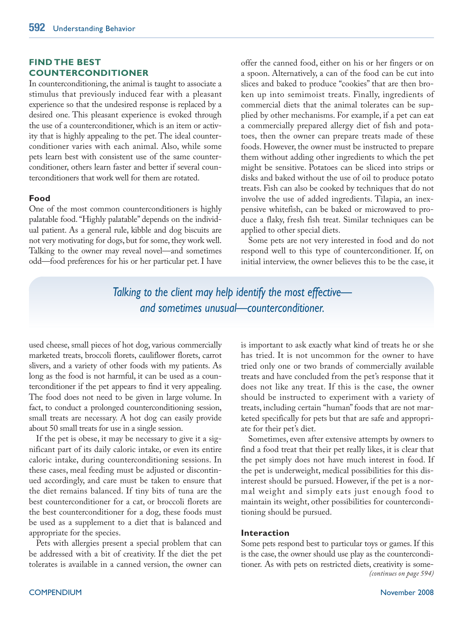# **FIND THE BEST COUNTERCONDITIONER**

In counterconditioning, the animal is taught to associate a stimulus that previously induced fear with a pleasant experience so that the undesired response is replaced by a desired one. This pleasant experience is evoked through the use of a counterconditioner, which is an item or activity that is highly appealing to the pet. The ideal counterconditioner varies with each animal. Also, while some pets learn best with consistent use of the same counterconditioner, others learn faster and better if several counterconditioners that work well for them are rotated.

# **Food**

One of the most common counterconditioners is highly palatable food."Highly palatable" depends on the individual patient. As a general rule, kibble and dog biscuits are not very motivating for dogs, but for some, they work well. Talking to the owner may reveal novel—and sometimes odd—food preferences for his or her particular pet. I have offer the canned food, either on his or her fingers or on a spoon. Alternatively, a can of the food can be cut into slices and baked to produce "cookies" that are then broken up into semimoist treats. Finally, ingredients of commercial diets that the animal tolerates can be supplied by other mechanisms. For example, if a pet can eat a commercially prepared allergy diet of fish and potatoes, then the owner can prepare treats made of these foods. However, the owner must be instructed to prepare them without adding other ingredients to which the pet might be sensitive. Potatoes can be sliced into strips or disks and baked without the use of oil to produce potato treats. Fish can also be cooked by techniques that do not involve the use of added ingredients. Tilapia, an inexpensive whitefish, can be baked or microwaved to produce a flaky, fresh fish treat. Similar techniques can be applied to other special diets.

Some pets are not very interested in food and do not respond well to this type of counterconditioner. If, on initial interview, the owner believes this to be the case, it

*Talking to the client may help identify the most effective and sometimes unusual—counterconditioner.*

used cheese, small pieces of hot dog, various commercially marketed treats, broccoli florets, cauliflower florets, carrot slivers, and a variety of other foods with my patients. As long as the food is not harmful, it can be used as a counterconditioner if the pet appears to find it very appealing. The food does not need to be given in large volume. In fact, to conduct a prolonged counterconditioning session, small treats are necessary. A hot dog can easily provide about 50 small treats for use in a single session.

If the pet is obese, it may be necessary to give it a significant part of its daily caloric intake, or even its entire caloric intake, during counterconditioning sessions. In these cases, meal feeding must be adjusted or discontinued accordingly, and care must be taken to ensure that the diet remains balanced. If tiny bits of tuna are the best counterconditioner for a cat, or broccoli florets are the best counterconditioner for a dog, these foods must be used as a supplement to a diet that is balanced and appropriate for the species.

Pets with allergies present a special problem that can be addressed with a bit of creativity. If the diet the pet tolerates is available in a canned version, the owner can is important to ask exactly what kind of treats he or she has tried. It is not uncommon for the owner to have tried only one or two brands of commercially available treats and have concluded from the pet's response that it does not like any treat. If this is the case, the owner should be instructed to experiment with a variety of treats, including certain "human"foods that are not marketed specifically for pets but that are safe and appropriate for their pet's diet.

Sometimes, even after extensive attempts by owners to find a food treat that their pet really likes, it is clear that the pet simply does not have much interest in food. If the pet is underweight, medical possibilities for this disinterest should be pursued. However, if the pet is a normal weight and simply eats just enough food to maintain its weight, other possibilities for counterconditioning should be pursued.

#### **Interaction**

Some pets respond best to particular toys or games. If this is the case, the owner should use play as the counterconditioner. As with pets on restricted diets, creativity is some-*(continues on page 594)*